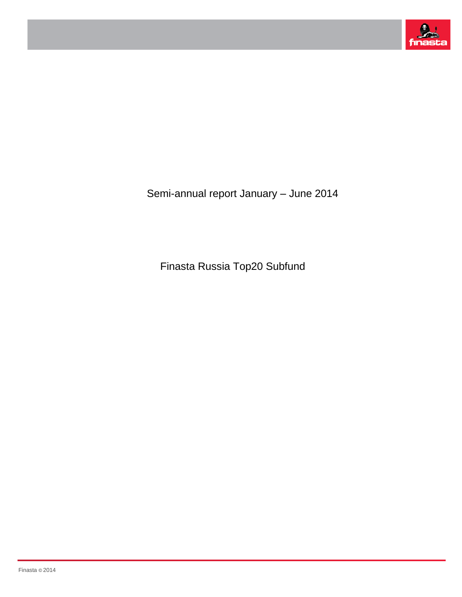

Semi-annual report January – June 2014

Finasta Russia Top20 Subfund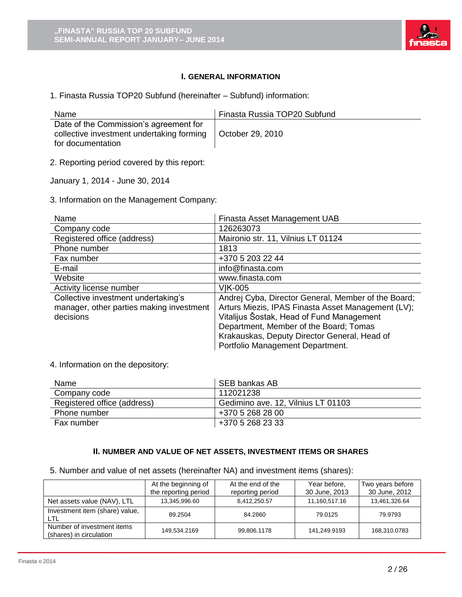

# **I. GENERAL INFORMATION**

1. Finasta Russia TOP20 Subfund (hereinafter – Subfund) information:

| Name                                                                                                     | Finasta Russia TOP20 Subfund |
|----------------------------------------------------------------------------------------------------------|------------------------------|
| Date of the Commission's agreement for<br>collective investment undertaking forming<br>for documentation | October 29, 2010             |

2. Reporting period covered by this report:

January 1, 2014 - June 30, 2014

3. Information on the Management Company:

| Name                                                                                         | Finasta Asset Management UAB                                                                                                                                                                                                                     |
|----------------------------------------------------------------------------------------------|--------------------------------------------------------------------------------------------------------------------------------------------------------------------------------------------------------------------------------------------------|
| Company code                                                                                 | 126263073                                                                                                                                                                                                                                        |
| Registered office (address)                                                                  | Maironio str. 11, Vilnius LT 01124                                                                                                                                                                                                               |
| Phone number                                                                                 | 1813                                                                                                                                                                                                                                             |
| Fax number                                                                                   | +370 5 203 22 44                                                                                                                                                                                                                                 |
| E-mail                                                                                       | info@finasta.com                                                                                                                                                                                                                                 |
| Website                                                                                      | www.finasta.com                                                                                                                                                                                                                                  |
| Activity license number                                                                      | <b>VIK-005</b>                                                                                                                                                                                                                                   |
| Collective investment undertaking's<br>manager, other parties making investment<br>decisions | Andrej Cyba, Director General, Member of the Board;<br>Arturs Miezis, IPAS Finasta Asset Management (LV);<br>Vitalijus Šostak, Head of Fund Management<br>Department, Member of the Board; Tomas<br>Krakauskas, Deputy Director General, Head of |
|                                                                                              | Portfolio Management Department.                                                                                                                                                                                                                 |

#### 4. Information on the depository:

| Name                        | SEB bankas AB                      |
|-----------------------------|------------------------------------|
| Company code                | 112021238                          |
| Registered office (address) | Gedimino ave. 12, Vilnius LT 01103 |
| Phone number                | +370 5 268 28 00                   |
| Fax number                  | +370 5 268 23 33                   |

#### **II. NUMBER AND VALUE OF NET ASSETS, INVESTMENT ITEMS OR SHARES**

5. Number and value of net assets (hereinafter NA) and investment items (shares):

|                                                       | At the beginning of<br>the reporting period | At the end of the<br>reporting period | Year before,<br>30 June, 2013 | Two years before<br>30 June, 2012 |
|-------------------------------------------------------|---------------------------------------------|---------------------------------------|-------------------------------|-----------------------------------|
| Net assets value (NAV), LTL                           | 13,345,996.60                               | 8,412,250.57                          | 11,160,517.16                 | 13,461,326.64                     |
| Investment item (share) value,<br>LTL                 | 89.2504                                     | 84.2860                               | 79.0125                       | 79.9793                           |
| Number of investment items<br>(shares) in circulation | 149,534.2169                                | 99,806.1178                           | 141,249.9193                  | 168,310.0783                      |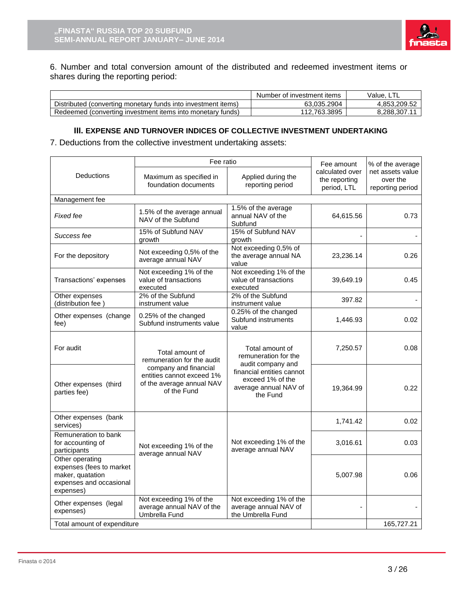

6. Number and total conversion amount of the distributed and redeemed investment items or shares during the reporting period:

|                                                               | Number of investment items | Value.       |
|---------------------------------------------------------------|----------------------------|--------------|
| Distributed (converting monetary funds into investment items) | 63.035.2904                | 4.853.209.52 |
| Redeemed (converting investment items into monetary funds)    | 112.763.3895               | 8.288.307.11 |

## **III. EXPENSE AND TURNOVER INDICES OF COLLECTIVE INVESTMENT UNDERTAKING**

7. Deductions from the collective investment undertaking assets:

|                                                                                                         | Fee ratio                                                                                      |                                                                                    | Fee amount                                      | % of the average                                 |  |
|---------------------------------------------------------------------------------------------------------|------------------------------------------------------------------------------------------------|------------------------------------------------------------------------------------|-------------------------------------------------|--------------------------------------------------|--|
| Deductions                                                                                              | Maximum as specified in<br>foundation documents                                                | Applied during the<br>reporting period                                             | calculated over<br>the reporting<br>period, LTL | net assets value<br>over the<br>reporting period |  |
| Management fee                                                                                          |                                                                                                |                                                                                    |                                                 |                                                  |  |
| Fixed fee                                                                                               | 1.5% of the average annual<br>NAV of the Subfund                                               | 1.5% of the average<br>annual NAV of the<br>Subfund                                | 64,615.56                                       | 0.73                                             |  |
| Success fee                                                                                             | 15% of Subfund NAV<br>growth                                                                   | 15% of Subfund NAV<br>growth                                                       |                                                 |                                                  |  |
| For the depository                                                                                      | Not exceeding 0,5% of the<br>average annual NAV                                                | Not exceeding 0,5% of<br>the average annual NA<br>value                            | 23,236.14                                       | 0.26                                             |  |
| Transactions' expenses                                                                                  | Not exceeding 1% of the<br>value of transactions<br>executed                                   | Not exceeding 1% of the<br>value of transactions<br>executed                       | 39,649.19                                       | 0.45                                             |  |
| Other expenses<br>(distribution fee)                                                                    | 2% of the Subfund<br>instrument value                                                          | 2% of the Subfund<br>instrument value                                              | 397.82                                          |                                                  |  |
| Other expenses (change<br>fee)                                                                          | 0.25% of the changed<br>Subfund instruments value                                              | 0.25% of the changed<br>Subfund instruments<br>value                               | 1,446.93                                        | 0.02                                             |  |
| For audit                                                                                               | Total amount of<br>remuneration for the audit                                                  | Total amount of<br>remuneration for the<br>audit company and                       | 7,250.57                                        | 0.08                                             |  |
| Other expenses (third<br>parties fee)                                                                   | company and financial<br>entities cannot exceed 1%<br>of the average annual NAV<br>of the Fund | financial entities cannot<br>exceed 1% of the<br>average annual NAV of<br>the Fund | 19,364.99                                       | 0.22                                             |  |
| Other expenses (bank<br>services)                                                                       |                                                                                                |                                                                                    | 1,741.42                                        | 0.02                                             |  |
| Remuneration to bank<br>for accounting of<br>participants                                               | Not exceeding 1% of the<br>average annual NAV                                                  | Not exceeding 1% of the<br>average annual NAV                                      | 3,016.61                                        | 0.03                                             |  |
| Other operating<br>expenses (fees to market<br>maker, quatation<br>expenses and occasional<br>expenses) |                                                                                                |                                                                                    | 5,007.98                                        | 0.06                                             |  |
| Other expenses (legal<br>expenses)                                                                      | Not exceeding 1% of the<br>average annual NAV of the<br>Umbrella Fund                          | Not exceeding 1% of the<br>average annual NAV of<br>the Umbrella Fund              | L,                                              |                                                  |  |
| Total amount of expenditure                                                                             |                                                                                                |                                                                                    |                                                 | 165,727.21                                       |  |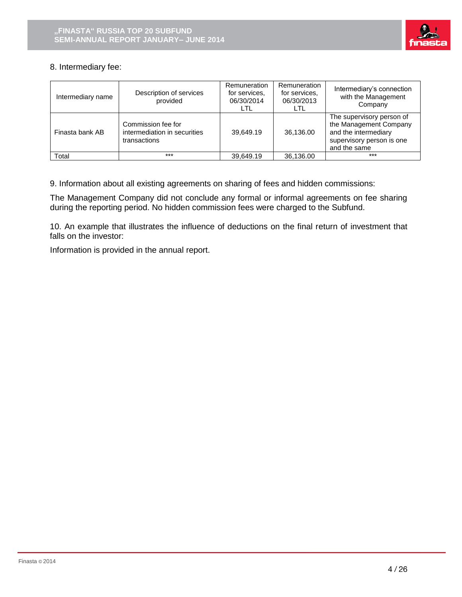

# 8. Intermediary fee:

| Intermediary name | Description of services<br>provided                                | Remuneration<br>for services.<br>06/30/2014<br>LTL | Remuneration<br>for services.<br>06/30/2013<br>LTL | Intermediary's connection<br>with the Management<br>Company                                                              |
|-------------------|--------------------------------------------------------------------|----------------------------------------------------|----------------------------------------------------|--------------------------------------------------------------------------------------------------------------------------|
| Finasta bank AB   | Commission fee for<br>intermediation in securities<br>transactions | 39.649.19                                          | 36,136.00                                          | The supervisory person of<br>the Management Company<br>and the intermediary<br>supervisory person is one<br>and the same |
| Total             | $***$                                                              | 39.649.19                                          | 36.136.00                                          | $***$                                                                                                                    |

9. Information about all existing agreements on sharing of fees and hidden commissions:

The Management Company did not conclude any formal or informal agreements on fee sharing during the reporting period. No hidden commission fees were charged to the Subfund.

10. An example that illustrates the influence of deductions on the final return of investment that falls on the investor:

Information is provided in the annual report.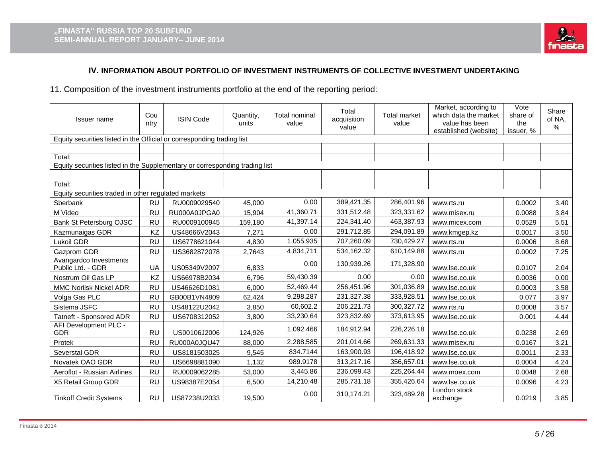

# **IV. INFORMATION ABOUT PORTFOLIO OF INVESTMENT INSTRUMENTS OF COLLECTIVE INVESTMENT UNDERTAKING**

11. Composition of the investment instruments portfolio at the end of the reporting period:

| Issuer name                                                                 | Cou<br>ntry | <b>ISIN Code</b> | Quantity,<br>units | Total nominal<br>value | Total<br>acquisition<br>value | <b>Total market</b><br>value | Market, according to<br>which data the market<br>value has been<br>established (website) | Vote<br>share of<br>the<br>issuer, % | Share<br>of NA,<br>% |  |  |
|-----------------------------------------------------------------------------|-------------|------------------|--------------------|------------------------|-------------------------------|------------------------------|------------------------------------------------------------------------------------------|--------------------------------------|----------------------|--|--|
| Equity securities listed in the Official or corresponding trading list      |             |                  |                    |                        |                               |                              |                                                                                          |                                      |                      |  |  |
|                                                                             |             |                  |                    |                        |                               |                              |                                                                                          |                                      |                      |  |  |
| Total:                                                                      |             |                  |                    |                        |                               |                              |                                                                                          |                                      |                      |  |  |
| Equity securities listed in the Supplementary or corresponding trading list |             |                  |                    |                        |                               |                              |                                                                                          |                                      |                      |  |  |
|                                                                             |             |                  |                    |                        |                               |                              |                                                                                          |                                      |                      |  |  |
| Total:                                                                      |             |                  |                    |                        |                               |                              |                                                                                          |                                      |                      |  |  |
| Equity securities traded in other regulated markets                         |             |                  |                    |                        |                               |                              |                                                                                          |                                      |                      |  |  |
| Sberbank                                                                    | <b>RU</b>   | RU0009029540     | 45,000             | 0.00                   | 389,421.35                    | 286,401.96                   | www.rts.ru                                                                               | 0.0002                               | 3.40                 |  |  |
| M Video                                                                     | <b>RU</b>   | RU000A0JPGA0     | 15,904             | 41,360.71              | 331,512.48                    | 323,331.62                   | www.misex.ru                                                                             | 0.0088                               | 3.84                 |  |  |
| Bank St Petersburg OJSC                                                     | <b>RU</b>   | RU0009100945     | 159,180            | 41,397.14              | 224,341.40                    | 463,387.93                   | www.micex.com                                                                            | 0.0529                               | 5.51                 |  |  |
| Kazmunaigas GDR                                                             | KZ          | US48666V2043     | 7,271              | 0,00                   | 291,712.85                    | 294,091.89                   | www.kmgep.kz                                                                             | 0.0017                               | 3.50                 |  |  |
| Lukoil GDR                                                                  | <b>RU</b>   | US6778621044     | 4,830              | 1,055.935              | 707,260.09                    | 730,429.27                   | www.rts.ru                                                                               | 0.0006                               | 8.68                 |  |  |
| Gazprom GDR                                                                 | <b>RU</b>   | US3682872078     | 2,7643             | 4,834,711              | 534,162.32                    | 610,149.88                   | www.rts.ru                                                                               | 0.0002                               | 7.25                 |  |  |
| Avangardco Investments<br>Public Ltd. - GDR                                 | UA          | US05349V2097     | 6,833              | 0.00                   | 130,939.26                    | 171,328.90                   | www.lse.co.uk                                                                            | 0.0107                               | 2.04                 |  |  |
| Nostrum Oil Gas LP                                                          | KZ          | US66978B2034     | 6,796              | 59,430.39              | 0.00                          | 0.00                         | www.lse.co.uk                                                                            | 0.0036                               | 0.00                 |  |  |
| <b>MMC Norilsk Nickel ADR</b>                                               | <b>RU</b>   | US46626D1081     | 6,000              | 52,469.44              | 256,451.96                    | 301,036.89                   | www.lse.co.uk                                                                            | 0.0003                               | 3.58                 |  |  |
| Volga Gas PLC                                                               | <b>RU</b>   | GB00B1VN4809     | 62,424             | 9,298.287              | 231,327.38                    | 333,928.51                   | www.lse.co.uk                                                                            | 0.077                                | 3.97                 |  |  |
| Sistema JSFC                                                                | <b>RU</b>   | US48122U2042     | 3,850              | 60,602.2               | 206,221.73                    | 300,327.72                   | www.rts.ru                                                                               | 0.0008                               | 3.57                 |  |  |
| <b>Tatneft - Sponsored ADR</b>                                              | <b>RU</b>   | US6708312052     | 3,800              | 33,230.64              | 323,832.69                    | 373,613.95                   | www.lse.co.uk                                                                            | 0.001                                | 4.44                 |  |  |
| AFI Development PLC -<br><b>GDR</b>                                         | <b>RU</b>   | US00106J2006     | 124,926            | 1,092.466              | 184,912.94                    | 226,226.18                   | www.lse.co.uk                                                                            | 0.0238                               | 2.69                 |  |  |
| Protek                                                                      | <b>RU</b>   | RU000A0JQU47     | 88,000             | 2,288.585              | 201,014.66                    | 269,631.33                   | www.misex.ru                                                                             | 0.0167                               | 3.21                 |  |  |
| Severstal GDR                                                               | <b>RU</b>   | US8181503025     | 9,545              | 834.7144               | 163,900.93                    | 196,418.92                   | www.lse.co.uk                                                                            | 0.0011                               | 2.33                 |  |  |
| Novatek OAO GDR                                                             | <b>RU</b>   | US6698881090     | 1,132              | 989.9178               | 313,217.16                    | 356,657.01                   | www.lse.co.uk                                                                            | 0.0004                               | 4.24                 |  |  |
| Aeroflot - Russian Airlines                                                 | <b>RU</b>   | RU0009062285     | 53,000             | 3,445.86               | 236,099.43                    | 225,264.44                   | www.moex.com                                                                             | 0.0048                               | 2.68                 |  |  |
| X5 Retail Group GDR                                                         | <b>RU</b>   | US98387E2054     | 6,500              | 14,210.48              | 285,731.18                    | 355,426.64                   | www.lse.co.uk                                                                            | 0.0096                               | 4.23                 |  |  |
| <b>Tinkoff Credit Systems</b>                                               | <b>RU</b>   | US87238U2033     | 19,500             | 0.00                   | 310,174.21                    | 323,489.28                   | London stock<br>exchange                                                                 | 0.0219                               | 3.85                 |  |  |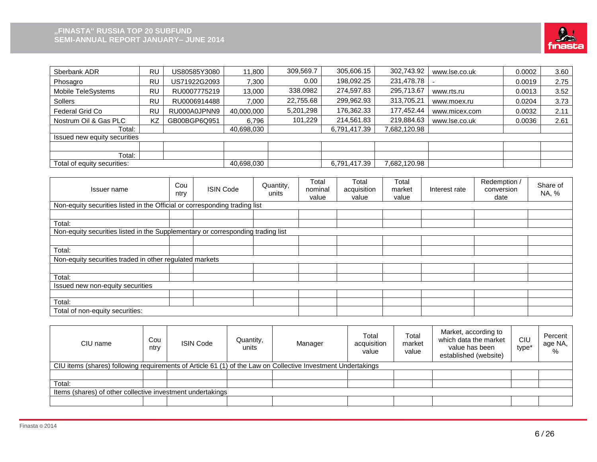

| Sberbank ADR                 | RU        | US80585Y3080 | 11,800     | 309,569.7 | 305,606.15   | 302,743.92   | www.lse.co.uk | 0.0002 | 3.60 |
|------------------------------|-----------|--------------|------------|-----------|--------------|--------------|---------------|--------|------|
| Phosagro                     | RU        | US71922G2093 | 7,300      | 0.00      | 198,092.25   | 231,478.78   |               | 0.0019 | 2.75 |
| Mobile TeleSystems           | RU        | RU0007775219 | 13,000     | 338.0982  | 274,597.83   | 295,713.67   | www.rts.ru    | 0.0013 | 3.52 |
| Sollers                      | RU        | RU0006914488 | 7,000      | 22,755.68 | 299,962.93   | 313,705.21   | www.moex.ru   | 0.0204 | 3.73 |
| Federal Grid Co              | RU        | RU000A0JPNN9 | 40.000.000 | 5,201,298 | 176,362.33   | 177,452.44   | www.micex.com | 0.0032 | 2.11 |
| Nostrum Oil & Gas PLC        | <b>KZ</b> | GB00BGP6Q951 | 6.796      | 101.229   | 214,561.83   | 219,884.63   | www.lse.co.uk | 0.0036 | 2.61 |
| Total:                       |           |              | 40,698,030 |           | 6,791,417.39 | 7,682,120.98 |               |        |      |
| Issued new equity securities |           |              |            |           |              |              |               |        |      |
|                              |           |              |            |           |              |              |               |        |      |
| Total:                       |           |              |            |           |              |              |               |        |      |
| Total of equity securities:  |           |              | 40,698,030 |           | 6,791,417.39 | 7,682,120.98 |               |        |      |

| Issuer name                                                                     | Cou<br>ntry | <b>ISIN Code</b> | Quantity,<br>units | Total<br>nominal<br>value | Total<br>acquisition<br>value | Total<br>market<br>value | Interest rate | Redemption /<br>conversion<br>date | Share of<br>NA, % |
|---------------------------------------------------------------------------------|-------------|------------------|--------------------|---------------------------|-------------------------------|--------------------------|---------------|------------------------------------|-------------------|
| Non-equity securities listed in the Official or corresponding trading list      |             |                  |                    |                           |                               |                          |               |                                    |                   |
|                                                                                 |             |                  |                    |                           |                               |                          |               |                                    |                   |
| Total:                                                                          |             |                  |                    |                           |                               |                          |               |                                    |                   |
| Non-equity securities listed in the Supplementary or corresponding trading list |             |                  |                    |                           |                               |                          |               |                                    |                   |
|                                                                                 |             |                  |                    |                           |                               |                          |               |                                    |                   |
| Total:                                                                          |             |                  |                    |                           |                               |                          |               |                                    |                   |
| Non-equity securities traded in other regulated markets                         |             |                  |                    |                           |                               |                          |               |                                    |                   |
|                                                                                 |             |                  |                    |                           |                               |                          |               |                                    |                   |
| Total:                                                                          |             |                  |                    |                           |                               |                          |               |                                    |                   |
| Issued new non-equity securities                                                |             |                  |                    |                           |                               |                          |               |                                    |                   |
|                                                                                 |             |                  |                    |                           |                               |                          |               |                                    |                   |
| Total:                                                                          |             |                  |                    |                           |                               |                          |               |                                    |                   |
| Total of non-equity securities:                                                 |             |                  |                    |                           |                               |                          |               |                                    |                   |

| CIU name                                                                                                     | Cou<br>ntry                                                | <b>ISIN Code</b> | Quantity,<br>units | Manager | Total<br>acquisition<br>value | Total<br>market<br>value | Market, according to<br>which data the market<br>value has been<br>established (website) | CIU<br>type <sup>*</sup> | Percent<br>age NA,<br>% |  |  |  |
|--------------------------------------------------------------------------------------------------------------|------------------------------------------------------------|------------------|--------------------|---------|-------------------------------|--------------------------|------------------------------------------------------------------------------------------|--------------------------|-------------------------|--|--|--|
| CIU items (shares) following requirements of Article 61 (1) of the Law on Collective Investment Undertakings |                                                            |                  |                    |         |                               |                          |                                                                                          |                          |                         |  |  |  |
|                                                                                                              |                                                            |                  |                    |         |                               |                          |                                                                                          |                          |                         |  |  |  |
| Total:                                                                                                       |                                                            |                  |                    |         |                               |                          |                                                                                          |                          |                         |  |  |  |
|                                                                                                              | Items (shares) of other collective investment undertakings |                  |                    |         |                               |                          |                                                                                          |                          |                         |  |  |  |
|                                                                                                              |                                                            |                  |                    |         |                               |                          |                                                                                          |                          |                         |  |  |  |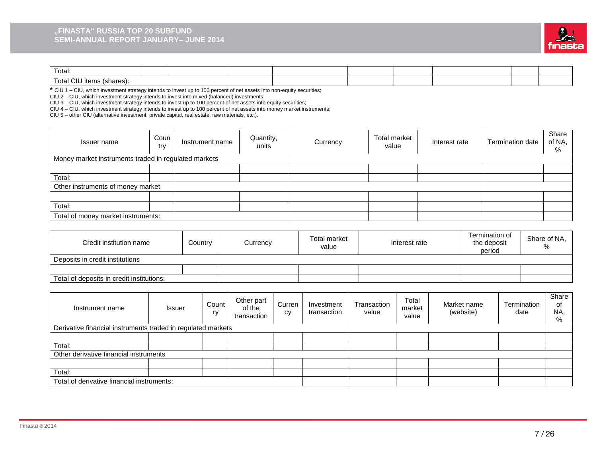#### **"FINASTA" RUSSIA TOP 20 SUBFUND SEMI-ANNUAL REPORT JANUARY– JUNE 2014**



| Total:                                |  |  |  |  |  |
|---------------------------------------|--|--|--|--|--|
| $\sim$<br>Total 、<br>(shares):<br>ner |  |  |  |  |  |

**\*** CIU 1 – CIU, which investment strategy intends to invest up to 100 percent of net assets into non-equity securities;

CIU 2 – CIU, which investment strategy intends to invest into mixed (balanced) investments;

CIU 3 – CIU, which investment strategy intends to invest up to 100 percent of net assets into equity securities;

CIU 4 – CIU, which investment strategy intends to invest up to 100 percent of net assets into money market instruments;

CIU 5 – other CIU (alternative investment, private capital, real estate, raw materials, etc.).

| Issuer name                                          | Coun<br>try | Instrument name | Quantity,<br>units | Currency | Total market<br>value | Interest rate | <b>Termination date</b> | Share<br>of NA,<br>% |
|------------------------------------------------------|-------------|-----------------|--------------------|----------|-----------------------|---------------|-------------------------|----------------------|
| Money market instruments traded in regulated markets |             |                 |                    |          |                       |               |                         |                      |
|                                                      |             |                 |                    |          |                       |               |                         |                      |
| Total:                                               |             |                 |                    |          |                       |               |                         |                      |
| Other instruments of money market                    |             |                 |                    |          |                       |               |                         |                      |
|                                                      |             |                 |                    |          |                       |               |                         |                      |
| Total:                                               |             |                 |                    |          |                       |               |                         |                      |
| Total of money market instruments:                   |             |                 |                    |          |                       |               |                         |                      |

| Credit institution name                   | Country | Currency | Total market<br>value | Interest rate | Termination of<br>the deposit<br>period | Share of NA,<br>% |
|-------------------------------------------|---------|----------|-----------------------|---------------|-----------------------------------------|-------------------|
| Deposits in credit institutions           |         |          |                       |               |                                         |                   |
|                                           |         |          |                       |               |                                         |                   |
| Total of deposits in credit institutions: |         |          |                       |               |                                         |                   |

| Instrument name                                              | <b>Issuer</b> | Count<br>ry | Other part<br>of the<br>transaction | Curren<br>сy | Investment<br>transaction | Transaction<br>value | Total<br>market<br>value | Market name<br>(website) | Termination<br>date | Share<br>οf<br>NA,<br>% |
|--------------------------------------------------------------|---------------|-------------|-------------------------------------|--------------|---------------------------|----------------------|--------------------------|--------------------------|---------------------|-------------------------|
| Derivative financial instruments traded in regulated markets |               |             |                                     |              |                           |                      |                          |                          |                     |                         |
|                                                              |               |             |                                     |              |                           |                      |                          |                          |                     |                         |
| Total:                                                       |               |             |                                     |              |                           |                      |                          |                          |                     |                         |
| Other derivative financial instruments                       |               |             |                                     |              |                           |                      |                          |                          |                     |                         |
|                                                              |               |             |                                     |              |                           |                      |                          |                          |                     |                         |
| Total:                                                       |               |             |                                     |              |                           |                      |                          |                          |                     |                         |
| Total of derivative financial instruments:                   |               |             |                                     |              |                           |                      |                          |                          |                     |                         |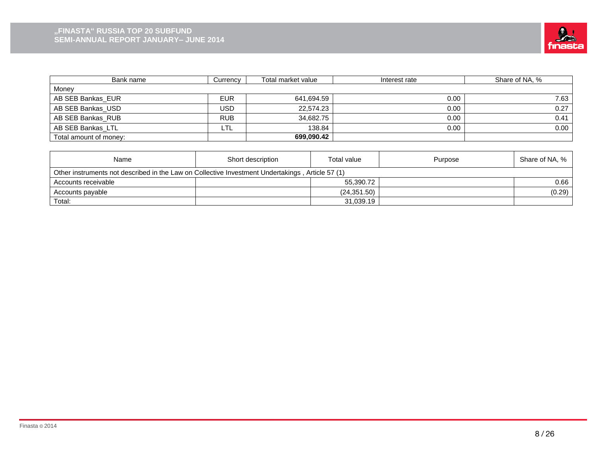

| Bank name              | Currencv   | Total market value | Interest rate | Share of NA, % |
|------------------------|------------|--------------------|---------------|----------------|
| Money                  |            |                    |               |                |
| AB SEB Bankas EUR      | <b>EUR</b> | 641,694.59         | 0.00          | 7.63           |
| AB SEB Bankas USD      | USD        | 22.574.23          | 0.00          | 0.27           |
| AB SEB Bankas RUB      | <b>RUB</b> | 34.682.75          | 0.00          | 0.41           |
| AB SEB Bankas LTL      | LTL        | 138.84             | 0.00          | 0.00           |
| Total amount of money: |            | 699,090.42         |               |                |

| Name                                                                                             | Short description | Total value  | Purpose | Share of NA, % |  |  |  |
|--------------------------------------------------------------------------------------------------|-------------------|--------------|---------|----------------|--|--|--|
| Other instruments not described in the Law on Collective Investment Undertakings, Article 57 (1) |                   |              |         |                |  |  |  |
| Accounts receivable                                                                              |                   | 55.390.72    |         | 0.66           |  |  |  |
| Accounts payable                                                                                 |                   | (24, 351.50) |         | (0.29)         |  |  |  |
| Total:                                                                                           |                   | 31,039.19    |         |                |  |  |  |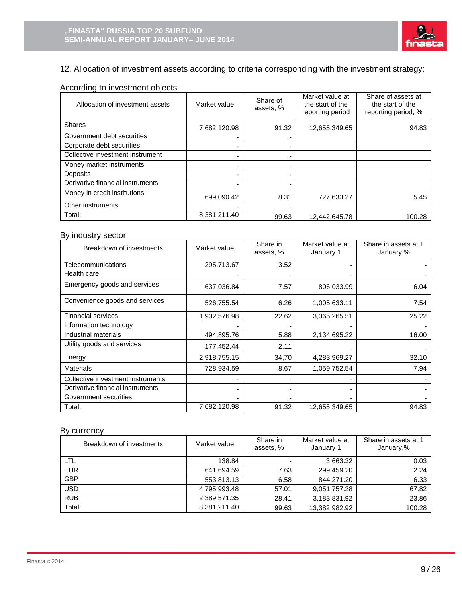

# 12. Allocation of investment assets according to criteria corresponding with the investment strategy:

# According to investment objects

| Allocation of investment assets  | Market value | Share of<br>assets, % | Market value at<br>the start of the<br>reporting period | Share of assets at<br>the start of the<br>reporting period, % |
|----------------------------------|--------------|-----------------------|---------------------------------------------------------|---------------------------------------------------------------|
| <b>Shares</b>                    | 7,682,120.98 | 91.32                 | 12,655,349.65                                           | 94.83                                                         |
| Government debt securities       |              | ۰                     |                                                         |                                                               |
| Corporate debt securities        |              | ۰                     |                                                         |                                                               |
| Collective investment instrument |              | ٠                     |                                                         |                                                               |
| Money market instruments         |              | ۰                     |                                                         |                                                               |
| <b>Deposits</b>                  |              | ۰                     |                                                         |                                                               |
| Derivative financial instruments |              | -                     |                                                         |                                                               |
| Money in credit institutions     | 699.090.42   | 8.31                  | 727.633.27                                              | 5.45                                                          |
| Other instruments                |              |                       |                                                         |                                                               |
| Total:                           | 8,381,211.40 | 99.63                 | 12.442.645.78                                           | 100.28                                                        |

#### By industry sector

| Breakdown of investments          | Market value | Share in<br>assets, %    | Market value at<br>January 1 | Share in assets at 1<br>January,% |
|-----------------------------------|--------------|--------------------------|------------------------------|-----------------------------------|
| Telecommunications                | 295,713.67   | 3.52                     |                              |                                   |
| Health care                       |              | $\overline{\phantom{0}}$ |                              |                                   |
| Emergency goods and services      | 637,036.84   | 7.57                     | 806,033.99                   | 6.04                              |
| Convenience goods and services    | 526,755.54   | 6.26                     | 1,005,633.11                 | 7.54                              |
| <b>Financial services</b>         | 1,902,576.98 | 22.62                    | 3,365,265.51                 | 25.22                             |
| Information technology            |              |                          |                              |                                   |
| Industrial materials              | 494,895.76   | 5.88                     | 2,134,695.22                 | 16.00                             |
| Utility goods and services        | 177,452.44   | 2.11                     |                              |                                   |
| Energy                            | 2,918,755.15 | 34,70                    | 4,283,969.27                 | 32.10                             |
| <b>Materials</b>                  | 728,934.59   | 8.67                     | 1,059,752.54                 | 7.94                              |
| Collective investment instruments |              | $\blacksquare$           |                              |                                   |
| Derivative financial instruments  |              | $\blacksquare$           |                              |                                   |
| Government securities             |              |                          |                              |                                   |
| Total:                            | 7,682,120.98 | 91.32                    | 12,655,349.65                | 94.83                             |

## By currency

| Breakdown of investments | Market value | Share in<br>assets, % | Market value at<br>January 1 | Share in assets at 1<br>January,% |
|--------------------------|--------------|-----------------------|------------------------------|-----------------------------------|
| LTL                      | 138.84       |                       | 3,663.32                     | 0.03                              |
| <b>EUR</b>               | 641,694.59   | 7.63                  | 299,459.20                   | 2.24                              |
| <b>GBP</b>               | 553,813.13   | 6.58                  | 844,271.20                   | 6.33                              |
| <b>USD</b>               | 4,795,993.48 | 57.01                 | 9,051,757.28                 | 67.82                             |
| <b>RUB</b>               | 2,389,571.35 | 28.41                 | 3,183,831.92                 | 23.86                             |
| Total:                   | 8.381.211.40 | 99.63                 | 13,382,982.92                | 100.28                            |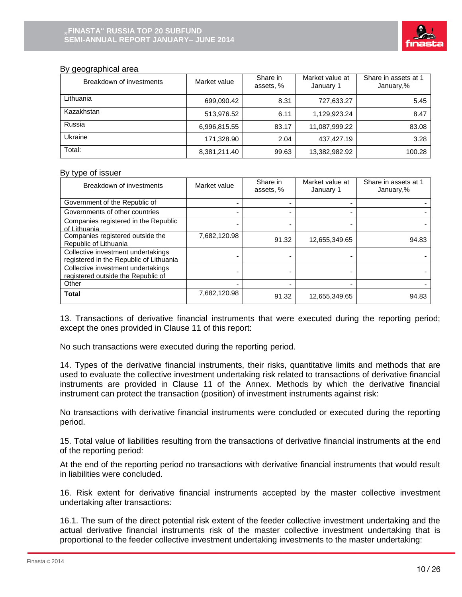

## By geographical area

| Breakdown of investments | Market value | Share in<br>assets, % | Market value at<br>January 1 | Share in assets at 1<br>January,% |
|--------------------------|--------------|-----------------------|------------------------------|-----------------------------------|
| Lithuania                | 699,090.42   | 8.31                  | 727,633.27                   | 5.45                              |
| Kazakhstan               | 513,976.52   | 6.11                  | 1,129,923.24                 | 8.47                              |
| Russia                   | 6,996,815.55 | 83.17                 | 11.087.999.22                | 83.08                             |
| Ukraine                  | 171,328.90   | 2.04                  | 437,427.19                   | 3.28                              |
| Total:                   | 8,381,211.40 | 99.63                 | 13,382,982.92                | 100.28                            |

#### By type of issuer

| Breakdown of investments                                                      | Market value | Share in<br>assets, % | Market value at<br>January 1 | Share in assets at 1<br>January,% |
|-------------------------------------------------------------------------------|--------------|-----------------------|------------------------------|-----------------------------------|
| Government of the Republic of                                                 |              |                       |                              |                                   |
| Governments of other countries                                                |              |                       |                              |                                   |
| Companies registered in the Republic<br>of Lithuania                          |              |                       |                              |                                   |
| Companies registered outside the<br>Republic of Lithuania                     | 7,682,120.98 | 91.32                 | 12,655,349.65                | 94.83                             |
| Collective investment undertakings<br>registered in the Republic of Lithuania |              |                       |                              |                                   |
| Collective investment undertakings<br>registered outside the Republic of      |              |                       |                              |                                   |
| Other                                                                         |              |                       |                              |                                   |
| Total                                                                         | 7,682,120.98 | 91.32                 | 12,655,349.65                | 94.83                             |

13. Transactions of derivative financial instruments that were executed during the reporting period; except the ones provided in Clause 11 of this report:

No such transactions were executed during the reporting period.

14. Types of the derivative financial instruments, their risks, quantitative limits and methods that are used to evaluate the collective investment undertaking risk related to transactions of derivative financial instruments are provided in Clause 11 of the Annex. Methods by which the derivative financial instrument can protect the transaction (position) of investment instruments against risk:

No transactions with derivative financial instruments were concluded or executed during the reporting period.

15. Total value of liabilities resulting from the transactions of derivative financial instruments at the end of the reporting period:

At the end of the reporting period no transactions with derivative financial instruments that would result in liabilities were concluded.

16. Risk extent for derivative financial instruments accepted by the master collective investment undertaking after transactions:

16.1. The sum of the direct potential risk extent of the feeder collective investment undertaking and the actual derivative financial instruments risk of the master collective investment undertaking that is proportional to the feeder collective investment undertaking investments to the master undertaking: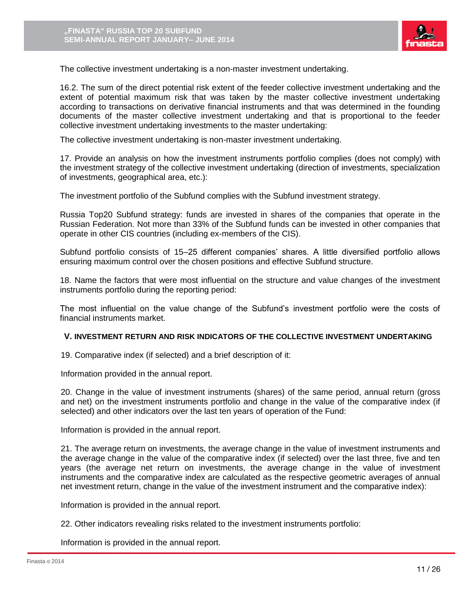

The collective investment undertaking is a non-master investment undertaking.

16.2. The sum of the direct potential risk extent of the feeder collective investment undertaking and the extent of potential maximum risk that was taken by the master collective investment undertaking according to transactions on derivative financial instruments and that was determined in the founding documents of the master collective investment undertaking and that is proportional to the feeder collective investment undertaking investments to the master undertaking:

The collective investment undertaking is non-master investment undertaking.

17. Provide an analysis on how the investment instruments portfolio complies (does not comply) with the investment strategy of the collective investment undertaking (direction of investments, specialization of investments, geographical area, etc.):

The investment portfolio of the Subfund complies with the Subfund investment strategy.

Russia Top20 Subfund strategy: funds are invested in shares of the companies that operate in the Russian Federation. Not more than 33% of the Subfund funds can be invested in other companies that operate in other CIS countries (including ex-members of the CIS).

Subfund portfolio consists of 15–25 different companies' shares. A little diversified portfolio allows ensuring maximum control over the chosen positions and effective Subfund structure.

18. Name the factors that were most influential on the structure and value changes of the investment instruments portfolio during the reporting period:

The most influential on the value change of the Subfund's investment portfolio were the costs of financial instruments market.

#### **V. INVESTMENT RETURN AND RISK INDICATORS OF THE COLLECTIVE INVESTMENT UNDERTAKING**

19. Comparative index (if selected) and a brief description of it:

Information provided in the annual report.

20. Change in the value of investment instruments (shares) of the same period, annual return (gross and net) on the investment instruments portfolio and change in the value of the comparative index (if selected) and other indicators over the last ten years of operation of the Fund:

Information is provided in the annual report.

21. The average return on investments, the average change in the value of investment instruments and the average change in the value of the comparative index (if selected) over the last three, five and ten years (the average net return on investments, the average change in the value of investment instruments and the comparative index are calculated as the respective geometric averages of annual net investment return, change in the value of the investment instrument and the comparative index):

Information is provided in the annual report.

22. Other indicators revealing risks related to the investment instruments portfolio:

Information is provided in the annual report.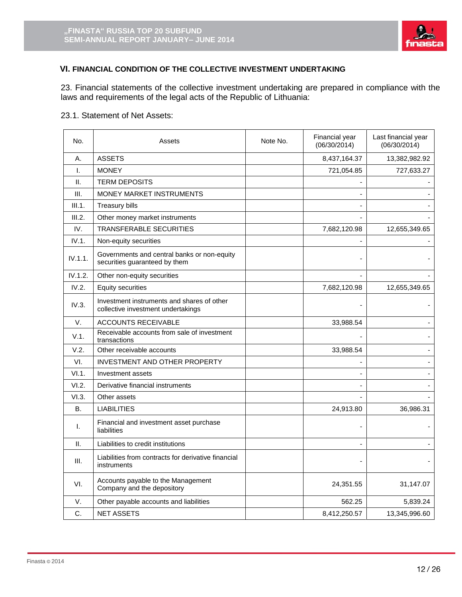

# **VI. FINANCIAL CONDITION OF THE COLLECTIVE INVESTMENT UNDERTAKING**

23. Financial statements of the collective investment undertaking are prepared in compliance with the laws and requirements of the legal acts of the Republic of Lithuania:

## 23.1. Statement of Net Assets:

| No.     | Assets                                                                           | Note No. | Financial year<br>(06/30/2014) | Last financial year<br>(06/30/2014) |
|---------|----------------------------------------------------------------------------------|----------|--------------------------------|-------------------------------------|
| А.      | <b>ASSETS</b>                                                                    |          | 8,437,164.37                   | 13,382,982.92                       |
| I.      | <b>MONEY</b>                                                                     |          | 721,054.85                     | 727,633.27                          |
| Ш.      | <b>TERM DEPOSITS</b>                                                             |          |                                |                                     |
| III.    | <b>MONEY MARKET INSTRUMENTS</b>                                                  |          |                                |                                     |
| III.1.  | Treasury bills                                                                   |          |                                |                                     |
| III.2.  | Other money market instruments                                                   |          |                                |                                     |
| IV.     | <b>TRANSFERABLE SECURITIES</b>                                                   |          | 7,682,120.98                   | 12,655,349.65                       |
| IV.1.   | Non-equity securities                                                            |          |                                |                                     |
| IV.1.1. | Governments and central banks or non-equity<br>securities guaranteed by them     |          |                                |                                     |
| IV.1.2. | Other non-equity securities                                                      |          |                                |                                     |
| IV.2.   | <b>Equity securities</b>                                                         |          | 7,682,120.98                   | 12,655,349.65                       |
| IV.3.   | Investment instruments and shares of other<br>collective investment undertakings |          |                                |                                     |
| V.      | <b>ACCOUNTS RECEIVABLE</b>                                                       |          | 33,988.54                      |                                     |
| V.1.    | Receivable accounts from sale of investment<br>transactions                      |          |                                |                                     |
| V.2.    | Other receivable accounts                                                        |          | 33,988.54                      |                                     |
| VI.     | <b>INVESTMENT AND OTHER PROPERTY</b>                                             |          |                                |                                     |
| VI.1.   | Investment assets                                                                |          |                                |                                     |
| VI.2.   | Derivative financial instruments                                                 |          |                                |                                     |
| VI.3.   | Other assets                                                                     |          |                                |                                     |
| Β.      | <b>LIABILITIES</b>                                                               |          | 24,913.80                      | 36,986.31                           |
| I.      | Financial and investment asset purchase<br>liabilities                           |          |                                |                                     |
| Ш.      | Liabilities to credit institutions                                               |          |                                |                                     |
| III.    | Liabilities from contracts for derivative financial<br>instruments               |          |                                |                                     |
| VI.     | Accounts payable to the Management<br>Company and the depository                 |          | 24,351.55                      | 31,147.07                           |
| V.      | Other payable accounts and liabilities                                           |          | 562.25                         | 5,839.24                            |
| C.      | <b>NET ASSETS</b>                                                                |          | 8,412,250.57                   | 13,345,996.60                       |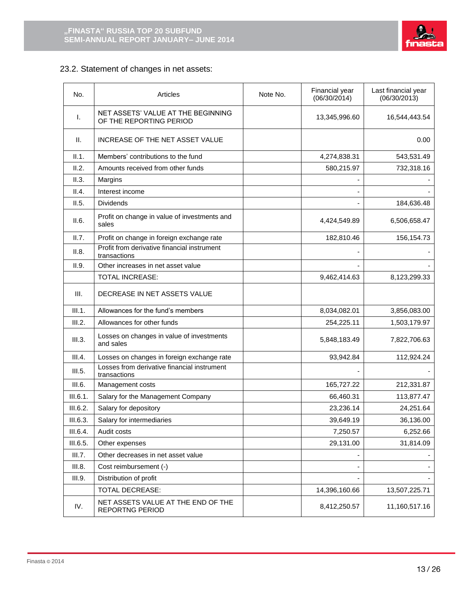

# 23.2. Statement of changes in net assets:

| No.      | Articles                                                      | Note No. | Financial year<br>(06/30/2014) | Last financial year<br>(06/30/2013) |
|----------|---------------------------------------------------------------|----------|--------------------------------|-------------------------------------|
| Τ.       | NET ASSETS' VALUE AT THE BEGINNING<br>OF THE REPORTING PERIOD |          | 13,345,996.60                  | 16,544,443.54                       |
| II.      | INCREASE OF THE NET ASSET VALUE                               |          |                                | 0.00                                |
| II.1.    | Members' contributions to the fund                            |          | 4,274,838.31                   | 543,531.49                          |
| II.2.    | Amounts received from other funds                             |          | 580,215.97                     | 732,318.16                          |
| II.3.    | Margins                                                       |          |                                |                                     |
| II.4.    | Interest income                                               |          |                                |                                     |
| II.5.    | <b>Dividends</b>                                              |          |                                | 184,636.48                          |
| II.6.    | Profit on change in value of investments and<br>sales         |          | 4,424,549.89                   | 6,506,658.47                        |
| II.7.    | Profit on change in foreign exchange rate                     |          | 182,810.46                     | 156,154.73                          |
| II.8.    | Profit from derivative financial instrument<br>transactions   |          |                                |                                     |
| II.9.    | Other increases in net asset value                            |          |                                |                                     |
|          | <b>TOTAL INCREASE:</b>                                        |          | 9,462,414.63                   | 8,123,299.33                        |
| III.     | DECREASE IN NET ASSETS VALUE                                  |          |                                |                                     |
| III.1.   | Allowances for the fund's members                             |          | 8,034,082.01                   | 3,856,083.00                        |
| III.2.   | Allowances for other funds                                    |          | 254,225.11                     | 1,503,179.97                        |
| III.3.   | Losses on changes in value of investments<br>and sales        |          | 5,848,183.49                   | 7,822,706.63                        |
| III.4.   | Losses on changes in foreign exchange rate                    |          | 93,942.84                      | 112,924.24                          |
| III.5.   | Losses from derivative financial instrument<br>transactions   |          |                                |                                     |
| III.6.   | Management costs                                              |          | 165,727.22                     | 212,331.87                          |
| III.6.1. | Salary for the Management Company                             |          | 66,460.31                      | 113,877.47                          |
| III.6.2. | Salary for depository                                         |          | 23,236.14                      | 24,251.64                           |
| III.6.3. | Salary for intermediaries                                     |          | 39,649.19                      | 36,136.00                           |
| III.6.4. | Audit costs                                                   |          | 7,250.57                       | 6,252.66                            |
| III.6.5. | Other expenses                                                |          | 29,131.00                      | 31,814.09                           |
| III.7.   | Other decreases in net asset value                            |          |                                |                                     |
| III.8.   | Cost reimbursement (-)                                        |          |                                |                                     |
| III.9.   | Distribution of profit                                        |          |                                |                                     |
|          | <b>TOTAL DECREASE:</b>                                        |          | 14,396,160.66                  | 13,507,225.71                       |
| IV.      | NET ASSETS VALUE AT THE END OF THE<br><b>REPORTNG PERIOD</b>  |          | 8,412,250.57                   | 11,160,517.16                       |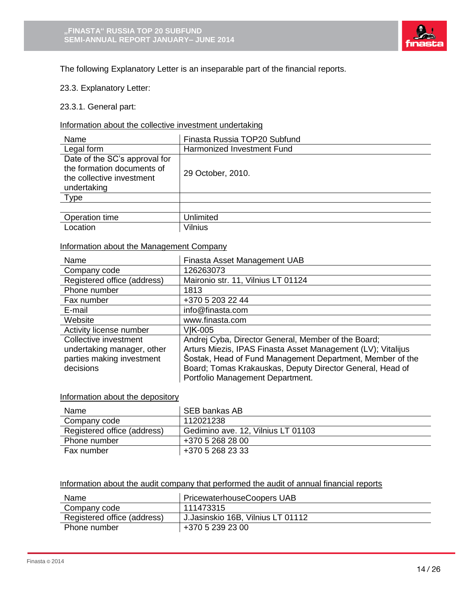

The following Explanatory Letter is an inseparable part of the financial reports.

23.3. Explanatory Letter:

23.3.1. General part:

# Information about the collective investment undertaking

| Name                                                                                                    | Finasta Russia TOP20 Subfund |
|---------------------------------------------------------------------------------------------------------|------------------------------|
| Legal form                                                                                              | Harmonized Investment Fund   |
| Date of the SC's approval for<br>the formation documents of<br>the collective investment<br>undertaking | 29 October, 2010.            |
| Type                                                                                                    |                              |
|                                                                                                         |                              |
| Operation time                                                                                          | Unlimited                    |
| Location                                                                                                | Vilnius                      |

# Information about the Management Company

| Name                        | Finasta Asset Management UAB                                 |
|-----------------------------|--------------------------------------------------------------|
| Company code                | 126263073                                                    |
| Registered office (address) | Maironio str. 11, Vilnius LT 01124                           |
| Phone number                | 1813                                                         |
| Fax number                  | +370 5 203 22 44                                             |
| E-mail                      | info@finasta.com                                             |
| Website                     | www.finasta.com                                              |
| Activity license number     | VIK-005                                                      |
| Collective investment       | Andrej Cyba, Director General, Member of the Board;          |
| undertaking manager, other  | Arturs Miezis, IPAS Finasta Asset Management (LV); Vitalijus |
| parties making investment   | Šostak, Head of Fund Management Department, Member of the    |
| decisions                   | Board; Tomas Krakauskas, Deputy Director General, Head of    |
|                             | Portfolio Management Department.                             |

#### Information about the depository

| Name                        | SEB bankas AB                      |
|-----------------------------|------------------------------------|
| Company code                | 112021238                          |
| Registered office (address) | Gedimino ave. 12, Vilnius LT 01103 |
| Phone number                | +370 5 268 28 00                   |
| Fax number                  | +370 5 268 23 33                   |

#### Information about the audit company that performed the audit of annual financial reports

| Name                        | PricewaterhouseCoopers UAB        |
|-----------------------------|-----------------------------------|
| Company code                | 111473315                         |
| Registered office (address) | J.Jasinskio 16B, Vilnius LT 01112 |
| Phone number                | +370 5 239 23 00                  |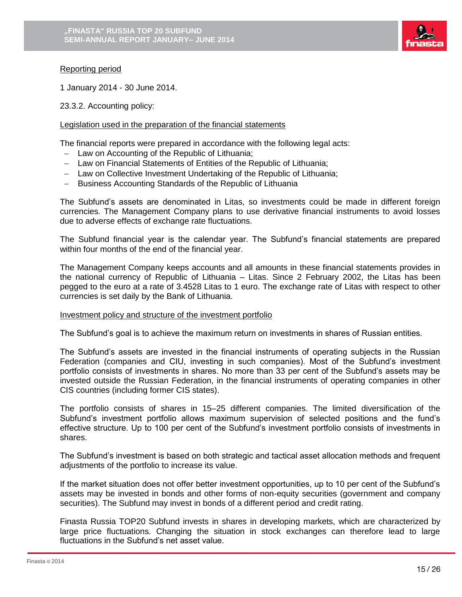

## Reporting period

1 January 2014 - 30 June 2014.

23.3.2. Accounting policy:

### Legislation used in the preparation of the financial statements

The financial reports were prepared in accordance with the following legal acts:

- Law on Accounting of the Republic of Lithuania;
- Law on Financial Statements of Entities of the Republic of Lithuania;
- Law on Collective Investment Undertaking of the Republic of Lithuania;
- Business Accounting Standards of the Republic of Lithuania

The Subfund's assets are denominated in Litas, so investments could be made in different foreign currencies. The Management Company plans to use derivative financial instruments to avoid losses due to adverse effects of exchange rate fluctuations.

The Subfund financial year is the calendar year. The Subfund's financial statements are prepared within four months of the end of the financial year.

The Management Company keeps accounts and all amounts in these financial statements provides in the national currency of Republic of Lithuania – Litas. Since 2 February 2002, the Litas has been pegged to the euro at a rate of 3.4528 Litas to 1 euro. The exchange rate of Litas with respect to other currencies is set daily by the Bank of Lithuania.

### Investment policy and structure of the investment portfolio

The Subfund's goal is to achieve the maximum return on investments in shares of Russian entities.

The Subfund's assets are invested in the financial instruments of operating subjects in the Russian Federation (companies and CIU, investing in such companies). Most of the Subfund's investment portfolio consists of investments in shares. No more than 33 per cent of the Subfund's assets may be invested outside the Russian Federation, in the financial instruments of operating companies in other CIS countries (including former CIS states).

The portfolio consists of shares in 15–25 different companies. The limited diversification of the Subfund's investment portfolio allows maximum supervision of selected positions and the fund's effective structure. Up to 100 per cent of the Subfund's investment portfolio consists of investments in shares.

The Subfund's investment is based on both strategic and tactical asset allocation methods and frequent adjustments of the portfolio to increase its value.

If the market situation does not offer better investment opportunities, up to 10 per cent of the Subfund's assets may be invested in bonds and other forms of non-equity securities (government and company securities). The Subfund may invest in bonds of a different period and credit rating.

Finasta Russia TOP20 Subfund invests in shares in developing markets, which are characterized by large price fluctuations. Changing the situation in stock exchanges can therefore lead to large fluctuations in the Subfund's net asset value.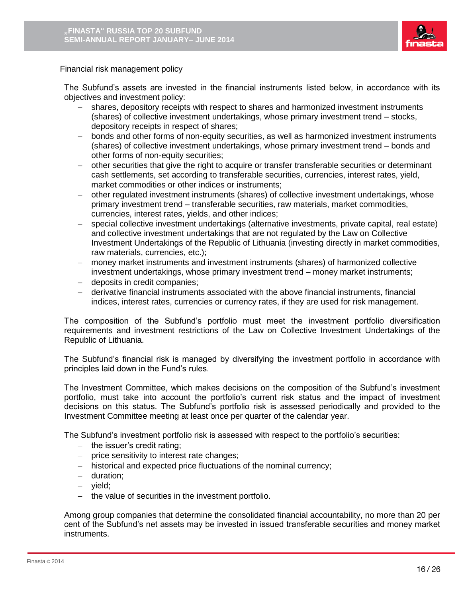

#### Financial risk management policy

The Subfund's assets are invested in the financial instruments listed below, in accordance with its objectives and investment policy:

- shares, depository receipts with respect to shares and harmonized investment instruments (shares) of collective investment undertakings, whose primary investment trend – stocks, depository receipts in respect of shares;
- bonds and other forms of non-equity securities, as well as harmonized investment instruments (shares) of collective investment undertakings, whose primary investment trend – bonds and other forms of non-equity securities;
- other securities that give the right to acquire or transfer transferable securities or determinant cash settlements, set according to transferable securities, currencies, interest rates, yield, market commodities or other indices or instruments;
- other regulated investment instruments (shares) of collective investment undertakings, whose primary investment trend – transferable securities, raw materials, market commodities, currencies, interest rates, yields, and other indices;
- special collective investment undertakings (alternative investments, private capital, real estate) and collective investment undertakings that are not regulated by the Law on Collective Investment Undertakings of the Republic of Lithuania (investing directly in market commodities, raw materials, currencies, etc.);
- money market instruments and investment instruments (shares) of harmonized collective investment undertakings, whose primary investment trend – money market instruments;
- deposits in credit companies;
- derivative financial instruments associated with the above financial instruments, financial indices, interest rates, currencies or currency rates, if they are used for risk management.

The composition of the Subfund's portfolio must meet the investment portfolio diversification requirements and investment restrictions of the Law on Collective Investment Undertakings of the Republic of Lithuania.

The Subfund's financial risk is managed by diversifying the investment portfolio in accordance with principles laid down in the Fund's rules.

The Investment Committee, which makes decisions on the composition of the Subfund's investment portfolio, must take into account the portfolio's current risk status and the impact of investment decisions on this status. The Subfund's portfolio risk is assessed periodically and provided to the Investment Committee meeting at least once per quarter of the calendar year.

The Subfund's investment portfolio risk is assessed with respect to the portfolio's securities:

- $-$  the issuer's credit rating;
- price sensitivity to interest rate changes;
- historical and expected price fluctuations of the nominal currency;
- duration;
- vield;
- the value of securities in the investment portfolio.

Among group companies that determine the consolidated financial accountability, no more than 20 per cent of the Subfund's net assets may be invested in issued transferable securities and money market instruments.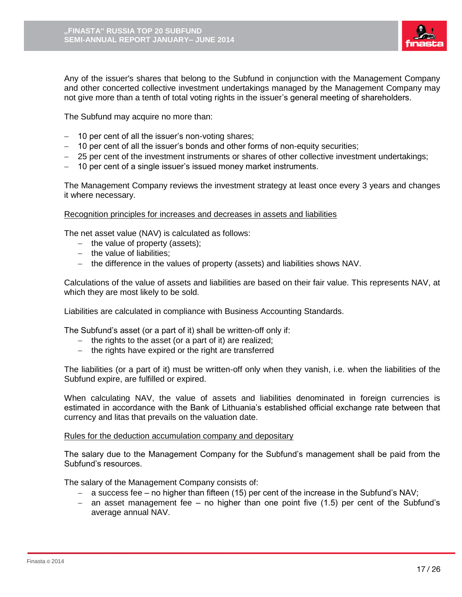

Any of the issuer's shares that belong to the Subfund in conjunction with the Management Company and other concerted collective investment undertakings managed by the Management Company may not give more than a tenth of total voting rights in the issuer's general meeting of shareholders.

The Subfund may acquire no more than:

- 10 per cent of all the issuer's non-voting shares;
- 10 per cent of all the issuer's bonds and other forms of non-equity securities;
- 25 per cent of the investment instruments or shares of other collective investment undertakings;
- 10 per cent of a single issuer's issued money market instruments.

The Management Company reviews the investment strategy at least once every 3 years and changes it where necessary.

Recognition principles for increases and decreases in assets and liabilities

The net asset value (NAV) is calculated as follows:

- $-$  the value of property (assets);
- the value of liabilities;
- the difference in the values of property (assets) and liabilities shows NAV.

Calculations of the value of assets and liabilities are based on their fair value. This represents NAV, at which they are most likely to be sold.

Liabilities are calculated in compliance with Business Accounting Standards.

The Subfund's asset (or a part of it) shall be written-off only if:

- the rights to the asset (or a part of it) are realized;
- the rights have expired or the right are transferred

The liabilities (or a part of it) must be written-off only when they vanish, i.e. when the liabilities of the Subfund expire, are fulfilled or expired.

When calculating NAV, the value of assets and liabilities denominated in foreign currencies is estimated in accordance with the Bank of Lithuania's established official exchange rate between that currency and litas that prevails on the valuation date.

### Rules for the deduction accumulation company and depositary

The salary due to the Management Company for the Subfund's management shall be paid from the Subfund's resources.

The salary of the Management Company consists of:

- a success fee no higher than fifteen (15) per cent of the increase in the Subfund's NAV;
- $-$  an asset management fee no higher than one point five (1.5) per cent of the Subfund's average annual NAV.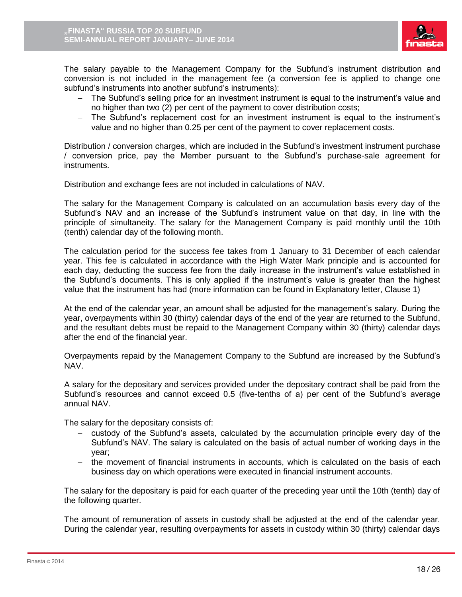

The salary payable to the Management Company for the Subfund's instrument distribution and conversion is not included in the management fee (a conversion fee is applied to change one subfund's instruments into another subfund's instruments):

- The Subfund's selling price for an investment instrument is equal to the instrument's value and no higher than two (2) per cent of the payment to cover distribution costs;
- The Subfund's replacement cost for an investment instrument is equal to the instrument's value and no higher than 0.25 per cent of the payment to cover replacement costs.

Distribution / conversion charges, which are included in the Subfund's investment instrument purchase / conversion price, pay the Member pursuant to the Subfund's purchase-sale agreement for instruments.

Distribution and exchange fees are not included in calculations of NAV.

The salary for the Management Company is calculated on an accumulation basis every day of the Subfund's NAV and an increase of the Subfund's instrument value on that day, in line with the principle of simultaneity. The salary for the Management Company is paid monthly until the 10th (tenth) calendar day of the following month.

The calculation period for the success fee takes from 1 January to 31 December of each calendar year. This fee is calculated in accordance with the High Water Mark principle and is accounted for each day, deducting the success fee from the daily increase in the instrument's value established in the Subfund's documents. This is only applied if the instrument's value is greater than the highest value that the instrument has had (more information can be found in Explanatory letter, Clause 1)

At the end of the calendar year, an amount shall be adjusted for the management's salary. During the year, overpayments within 30 (thirty) calendar days of the end of the year are returned to the Subfund, and the resultant debts must be repaid to the Management Company within 30 (thirty) calendar days after the end of the financial year.

Overpayments repaid by the Management Company to the Subfund are increased by the Subfund's NAV.

A salary for the depositary and services provided under the depositary contract shall be paid from the Subfund's resources and cannot exceed 0.5 (five-tenths of a) per cent of the Subfund's average annual NAV.

The salary for the depositary consists of:

- custody of the Subfund's assets, calculated by the accumulation principle every day of the Subfund's NAV. The salary is calculated on the basis of actual number of working days in the year;
- the movement of financial instruments in accounts, which is calculated on the basis of each business day on which operations were executed in financial instrument accounts.

The salary for the depositary is paid for each quarter of the preceding year until the 10th (tenth) day of the following quarter.

The amount of remuneration of assets in custody shall be adjusted at the end of the calendar year. During the calendar year, resulting overpayments for assets in custody within 30 (thirty) calendar days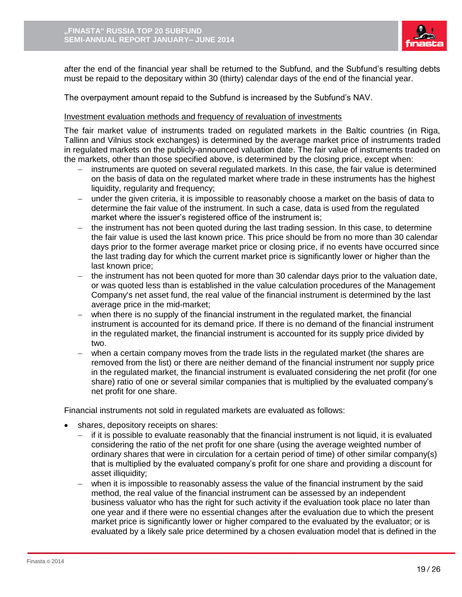

after the end of the financial year shall be returned to the Subfund, and the Subfund's resulting debts must be repaid to the depositary within 30 (thirty) calendar days of the end of the financial year.

The overpayment amount repaid to the Subfund is increased by the Subfund's NAV.

### Investment evaluation methods and frequency of revaluation of investments

The fair market value of instruments traded on regulated markets in the Baltic countries (in Riga, Tallinn and Vilnius stock exchanges) is determined by the average market price of instruments traded in regulated markets on the publicly-announced valuation date. The fair value of instruments traded on the markets, other than those specified above, is determined by the closing price, except when:

- instruments are quoted on several regulated markets. In this case, the fair value is determined on the basis of data on the regulated market where trade in these instruments has the highest liquidity, regularity and frequency;
- under the given criteria, it is impossible to reasonably choose a market on the basis of data to determine the fair value of the instrument. In such a case, data is used from the regulated market where the issuer's registered office of the instrument is;
- the instrument has not been quoted during the last trading session. In this case, to determine the fair value is used the last known price. This price should be from no more than 30 calendar days prior to the former average market price or closing price, if no events have occurred since the last trading day for which the current market price is significantly lower or higher than the last known price;
- the instrument has not been quoted for more than 30 calendar days prior to the valuation date, or was quoted less than is established in the value calculation procedures of the Management Company's net asset fund, the real value of the financial instrument is determined by the last average price in the mid-market;
- when there is no supply of the financial instrument in the regulated market, the financial instrument is accounted for its demand price. If there is no demand of the financial instrument in the regulated market, the financial instrument is accounted for its supply price divided by two.
- when a certain company moves from the trade lists in the regulated market (the shares are removed from the list) or there are neither demand of the financial instrument nor supply price in the regulated market, the financial instrument is evaluated considering the net profit (for one share) ratio of one or several similar companies that is multiplied by the evaluated company's net profit for one share.

Financial instruments not sold in regulated markets are evaluated as follows:

- shares, depository receipts on shares:
	- $-$  if it is possible to evaluate reasonably that the financial instrument is not liquid, it is evaluated considering the ratio of the net profit for one share (using the average weighted number of ordinary shares that were in circulation for a certain period of time) of other similar company(s) that is multiplied by the evaluated company's profit for one share and providing a discount for asset illiquidity;
	- when it is impossible to reasonably assess the value of the financial instrument by the said method, the real value of the financial instrument can be assessed by an independent business valuator who has the right for such activity if the evaluation took place no later than one year and if there were no essential changes after the evaluation due to which the present market price is significantly lower or higher compared to the evaluated by the evaluator; or is evaluated by a likely sale price determined by a chosen evaluation model that is defined in the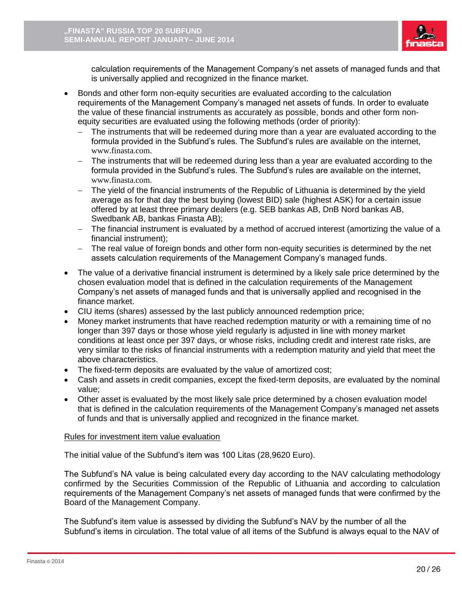

calculation requirements of the Management Company's net assets of managed funds and that is universally applied and recognized in the finance market.

- Bonds and other form non-equity securities are evaluated according to the calculation requirements of the Management Company's managed net assets of funds. In order to evaluate the value of these financial instruments as accurately as possible, bonds and other form nonequity securities are evaluated using the following methods (order of priority):
	- The instruments that will be redeemed during more than a year are evaluated according to the formula provided in the Subfund's rules. The Subfund's rules are available on the internet, [www.finasta.com](http://www.finasta.com/).
	- The instruments that will be redeemed during less than a year are evaluated according to the formula provided in the Subfund's rules. The Subfund's rules are available on the internet, [www.finasta.com](http://www.finasta.com/).
	- The yield of the financial instruments of the Republic of Lithuania is determined by the yield average as for that day the best buying (lowest BID) sale (highest ASK) for a certain issue offered by at least three primary dealers (e.g. SEB bankas AB, DnB Nord bankas AB, Swedbank AB, bankas Finasta AB);
	- The financial instrument is evaluated by a method of accrued interest (amortizing the value of a financial instrument);
	- The real value of foreign bonds and other form non-equity securities is determined by the net assets calculation requirements of the Management Company's managed funds.
- The value of a derivative financial instrument is determined by a likely sale price determined by the chosen evaluation model that is defined in the calculation requirements of the Management Company's net assets of managed funds and that is universally applied and recognised in the finance market.
- CIU items (shares) assessed by the last publicly announced redemption price;
- Money market instruments that have reached redemption maturity or with a remaining time of no longer than 397 days or those whose yield regularly is adjusted in line with money market conditions at least once per 397 days, or whose risks, including credit and interest rate risks, are very similar to the risks of financial instruments with a redemption maturity and yield that meet the above characteristics.
- The fixed-term deposits are evaluated by the value of amortized cost;
- Cash and assets in credit companies, except the fixed-term deposits, are evaluated by the nominal value;
- Other asset is evaluated by the most likely sale price determined by a chosen evaluation model that is defined in the calculation requirements of the Management Company's managed net assets of funds and that is universally applied and recognized in the finance market.

# Rules for investment item value evaluation

The initial value of the Subfund's item was 100 Litas (28,9620 Euro).

The Subfund's NA value is being calculated every day according to the NAV calculating methodology confirmed by the Securities Commission of the Republic of Lithuania and according to calculation requirements of the Management Company's net assets of managed funds that were confirmed by the Board of the Management Company.

The Subfund's item value is assessed by dividing the Subfund's NAV by the number of all the Subfund's items in circulation. The total value of all items of the Subfund is always equal to the NAV of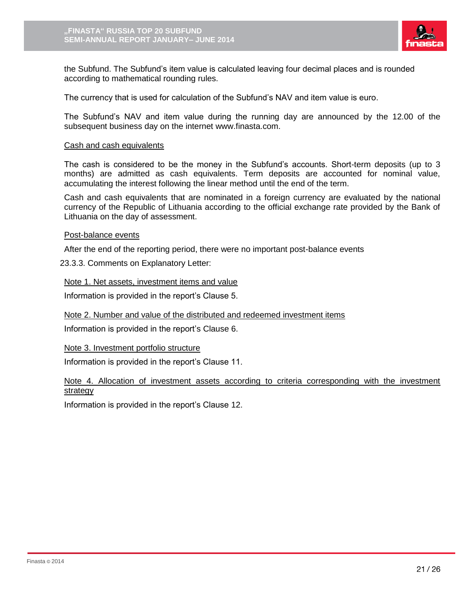

the Subfund. The Subfund's item value is calculated leaving four decimal places and is rounded according to mathematical rounding rules.

The currency that is used for calculation of the Subfund's NAV and item value is euro.

The Subfund's NAV and item value during the running day are announced by the 12.00 of the subsequent business day on the internet www.finasta.com.

### Cash and cash equivalents

The cash is considered to be the money in the Subfund's accounts. Short-term deposits (up to 3 months) are admitted as cash equivalents. Term deposits are accounted for nominal value, accumulating the interest following the linear method until the end of the term.

Cash and cash equivalents that are nominated in a foreign currency are evaluated by the national currency of the Republic of Lithuania according to the official exchange rate provided by the Bank of Lithuania on the day of assessment.

#### Post-balance events

After the end of the reporting period, there were no important post-balance events

23.3.3. Comments on Explanatory Letter:

Note 1. Net assets, investment items and value

Information is provided in the report's Clause 5.

Note 2. Number and value of the distributed and redeemed investment items

Information is provided in the report's Clause 6.

Note 3. Investment portfolio structure

Information is provided in the report's Clause 11.

Note 4. Allocation of investment assets according to criteria corresponding with the investment strategy

Information is provided in the report's Clause 12.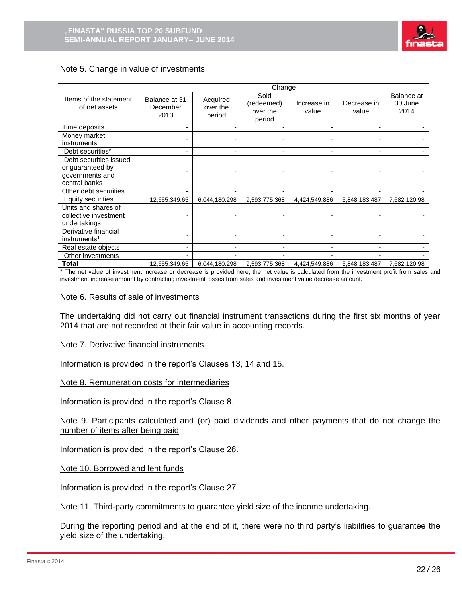

### Note 5. Change in value of investments

|                                         | Change                            |                                |                                          |                      |                      |                               |
|-----------------------------------------|-----------------------------------|--------------------------------|------------------------------------------|----------------------|----------------------|-------------------------------|
| Items of the statement<br>of net assets | Balance at 31<br>December<br>2013 | Acquired<br>over the<br>period | Sold<br>(redeemed)<br>over the<br>period | Increase in<br>value | Decrease in<br>value | Balance at<br>30 June<br>2014 |
| Time deposits                           |                                   |                                | ۰                                        |                      | -                    |                               |
| Money market<br>instruments             |                                   |                                |                                          |                      |                      |                               |
| Debt securities <sup>2</sup>            |                                   |                                |                                          |                      |                      |                               |
| Debt securities issued                  |                                   |                                |                                          |                      |                      |                               |
| or guaranteed by<br>governments and     |                                   |                                |                                          |                      |                      |                               |
| central banks                           |                                   |                                |                                          |                      |                      |                               |
| Other debt securities                   |                                   |                                |                                          |                      |                      |                               |
| Equity securities                       | 12,655,349.65                     | 6,044,180.298                  | 9,593,775.368                            | 4,424,549.886        | 5,848,183.487        | 7,682,120.98                  |
| Units and shares of                     |                                   |                                |                                          |                      |                      |                               |
| collective investment                   |                                   |                                |                                          |                      |                      |                               |
| undertakings                            |                                   |                                |                                          |                      |                      |                               |
| Derivative financial                    |                                   |                                |                                          |                      |                      |                               |
| instruments <sup>1</sup>                |                                   |                                |                                          |                      |                      |                               |
| Real estate objects                     |                                   |                                |                                          |                      |                      |                               |
| Other investments                       |                                   |                                |                                          |                      |                      |                               |
| <b>Total</b>                            | 12,655,349.65                     | 6,044,180.298                  | 9,593,775.368                            | 4,424,549.886        | 5,848,183.487        | 7,682,120.98                  |

\* The net value of investment increase or decrease is provided here; the net value is calculated from the investment profit from sales and investment increase amount by contracting investment losses from sales and investment value decrease amount.

#### Note 6. Results of sale of investments

The undertaking did not carry out financial instrument transactions during the first six months of year 2014 that are not recorded at their fair value in accounting records.

### Note 7. Derivative financial instruments

Information is provided in the report's Clauses 13, 14 and 15.

### Note 8. Remuneration costs for intermediaries

Information is provided in the report's Clause 8.

Note 9. Participants calculated and (or) paid dividends and other payments that do not change the number of items after being paid

Information is provided in the report's Clause 26.

Note 10. Borrowed and lent funds

Information is provided in the report's Clause 27.

#### Note 11. Third-party commitments to guarantee yield size of the income undertaking.

During the reporting period and at the end of it, there were no third party's liabilities to guarantee the yield size of the undertaking.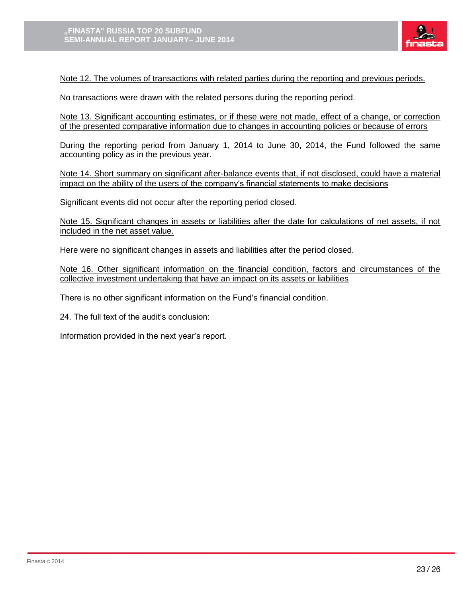

## Note 12. The volumes of transactions with related parties during the reporting and previous periods.

No transactions were drawn with the related persons during the reporting period.

Note 13. Significant accounting estimates, or if these were not made, effect of a change, or correction of the presented comparative information due to changes in accounting policies or because of errors

During the reporting period from January 1, 2014 to June 30, 2014, the Fund followed the same accounting policy as in the previous year.

Note 14. Short summary on significant after-balance events that, if not disclosed, could have a material impact on the ability of the users of the company's financial statements to make decisions

Significant events did not occur after the reporting period closed.

Note 15. Significant changes in assets or liabilities after the date for calculations of net assets, if not included in the net asset value.

Here were no significant changes in assets and liabilities after the period closed.

Note 16. Other significant information on the financial condition, factors and circumstances of the collective investment undertaking that have an impact on its assets or liabilities

There is no other significant information on the Fund's financial condition.

24. The full text of the audit's conclusion:

Information provided in the next year's report.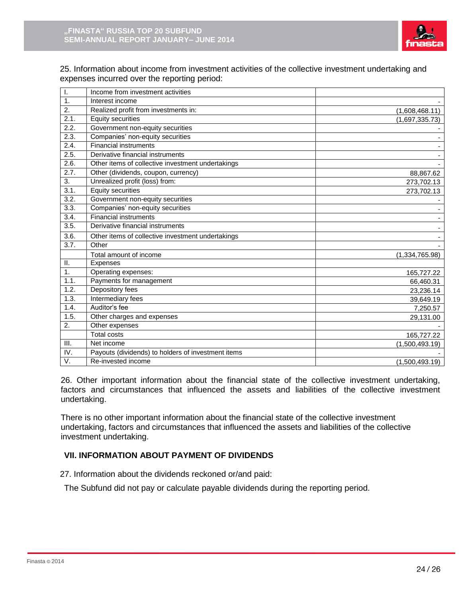

25. Information about income from investment activities of the collective investment undertaking and expenses incurred over the reporting period:

| I.               | Income from investment activities                  |                |
|------------------|----------------------------------------------------|----------------|
| $\overline{1}$ . | Interest income                                    |                |
| 2.               | Realized profit from investments in:               | (1,608,468.11) |
| 2.1.             | <b>Equity securities</b>                           | (1,697,335.73) |
| 2.2.             | Government non-equity securities                   |                |
| 2.3.             | Companies' non-equity securities                   |                |
| 2.4.             | <b>Financial instruments</b>                       |                |
| 2.5.             | Derivative financial instruments                   |                |
| 2.6.             | Other items of collective investment undertakings  |                |
| 2.7.             | Other (dividends, coupon, currency)                | 88,867.62      |
| 3.               | Unrealized profit (loss) from:                     | 273,702.13     |
| 3.1.             | <b>Equity securities</b>                           | 273,702.13     |
| 3.2.             | Government non-equity securities                   |                |
| 3.3.             | Companies' non-equity securities                   |                |
| 3.4.             | <b>Financial instruments</b>                       |                |
| 3.5.             | Derivative financial instruments                   |                |
| 3.6.             | Other items of collective investment undertakings  |                |
| 3.7.             | Other                                              |                |
|                  | Total amount of income                             | (1,334,765.98) |
| Ш.               | Expenses                                           |                |
| 1.               | Operating expenses:                                | 165,727.22     |
| 1.1.             | Payments for management                            | 66,460.31      |
| 1.2.             | Depository fees                                    | 23,236.14      |
| 1.3.             | Intermediary fees                                  | 39,649.19      |
| 1.4.             | Auditor's fee                                      | 7,250.57       |
| 1.5.             | Other charges and expenses                         | 29,131.00      |
| 2.               | Other expenses                                     |                |
|                  | <b>Total costs</b>                                 | 165,727.22     |
| III.             | Net income                                         | (1,500,493.19) |
| IV.              | Payouts (dividends) to holders of investment items |                |
| V.               | Re-invested income                                 | (1,500,493.19) |

26. Other important information about the financial state of the collective investment undertaking, factors and circumstances that influenced the assets and liabilities of the collective investment undertaking.

There is no other important information about the financial state of the collective investment undertaking, factors and circumstances that influenced the assets and liabilities of the collective investment undertaking.

# **VII. INFORMATION ABOUT PAYMENT OF DIVIDENDS**

27. Information about the dividends reckoned or/and paid:

The Subfund did not pay or calculate payable dividends during the reporting period.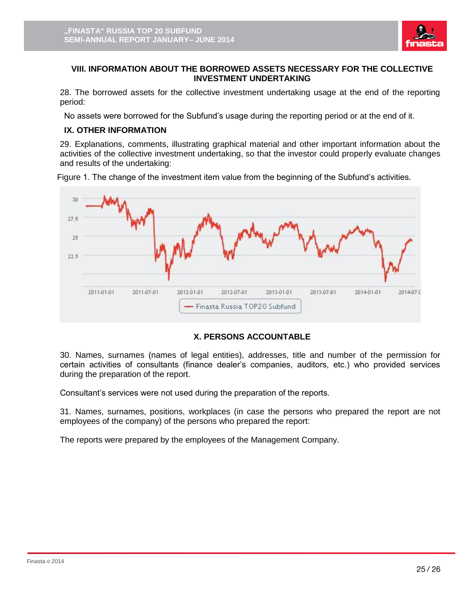

## **VIII. INFORMATION ABOUT THE BORROWED ASSETS NECESSARY FOR THE COLLECTIVE INVESTMENT UNDERTAKING**

28. The borrowed assets for the collective investment undertaking usage at the end of the reporting period:

No assets were borrowed for the Subfund's usage during the reporting period or at the end of it.

# **IX. OTHER INFORMATION**

29. Explanations, comments, illustrating graphical material and other important information about the activities of the collective investment undertaking, so that the investor could properly evaluate changes and results of the undertaking:

Figure 1. The change of the investment item value from the beginning of the Subfund's activities.



# **X. PERSONS ACCOUNTABLE**

30. Names, surnames (names of legal entities), addresses, title and number of the permission for certain activities of consultants (finance dealer's companies, auditors, etc.) who provided services during the preparation of the report.

Consultant's services were not used during the preparation of the reports.

31. Names, surnames, positions, workplaces (in case the persons who prepared the report are not employees of the company) of the persons who prepared the report:

The reports were prepared by the employees of the Management Company.